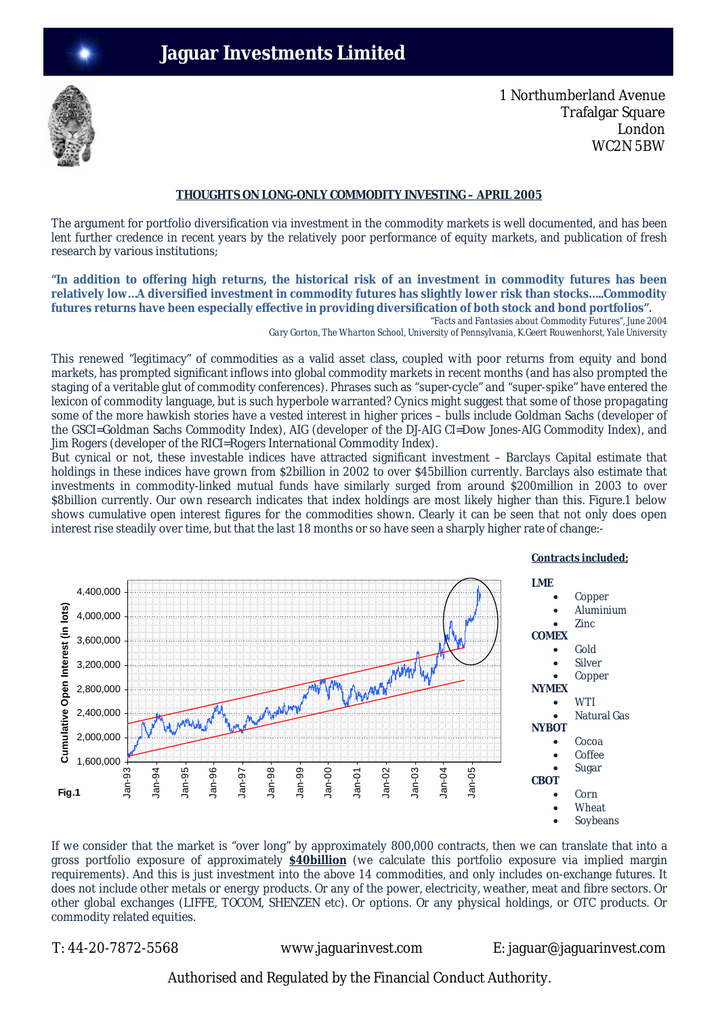

1 Northumberland Avenue Trafalgar Square London WC2N 5BW

### **THOUGHTS ON LONG-ONLY COMMODITY INVESTING – APRIL 2005**

The argument for portfolio diversification via investment in the commodity markets is well documented, and has been lent further credence in recent years by the relatively poor performance of equity markets, and publication of fresh research by various institutions;

**"In addition to offering high returns, the historical risk of an investment in commodity futures has been relatively low…A diversified investment in commodity futures has slightly lower risk than stocks…..Commodity futures returns have been especially effective in providing diversification of both stock and bond portfolios".** 

 "*Facts and Fantasies about Commodity Futures", June 2004 Gary Gorton, The Wharton School, University of Pennsylvania, K.Geert Rouwenhorst, Yale University*

This renewed "legitimacy" of commodities as a valid asset class, coupled with poor returns from equity and bond markets, has prompted significant inflows into global commodity markets in recent months (and has also prompted the staging of a veritable glut of commodity conferences). Phrases such as "super-cycle" and "super-spike" have entered the lexicon of commodity language, but is such hyperbole warranted? Cynics might suggest that some of those propagating some of the more hawkish stories have a vested interest in higher prices – bulls include Goldman Sachs (developer of the GSCI=Goldman Sachs Commodity Index), AIG (developer of the DJ-AIG CI=Dow Jones-AIG Commodity Index), and Jim Rogers (developer of the RICI=Rogers International Commodity Index).

But cynical or not, these investable indices have attracted significant investment – Barclays Capital estimate that holdings in these indices have grown from \$2billion in 2002 to over \$45billion currently. Barclays also estimate that investments in commodity-linked mutual funds have similarly surged from around \$200million in 2003 to over \$8billion currently. Our own research indicates that index holdings are most likely higher than this. Figure.1 below shows cumulative open interest figures for the commodities shown. Clearly it can be seen that not only does open interest rise steadily over time, but that the last 18 months or so have seen a sharply higher rate of change:-



If we consider that the market is "over long" by approximately 800,000 contracts, then we can translate that into a gross portfolio exposure of approximately **\$40billion** (we calculate this portfolio exposure via implied margin requirements). And this is just investment into the above 14 commodities, and only includes on-exchange futures. It does not include other metals or energy products. Or any of the power, electricity, weather, meat and fibre sectors. Or other global exchanges (LIFFE, TOCOM, SHENZEN etc). Or options. Or any physical holdings, or OTC products. Or commodity related equities.

T: 44-20-7872-5568 www.jaguarinvest.com E: jaguar@jaguarinvest.com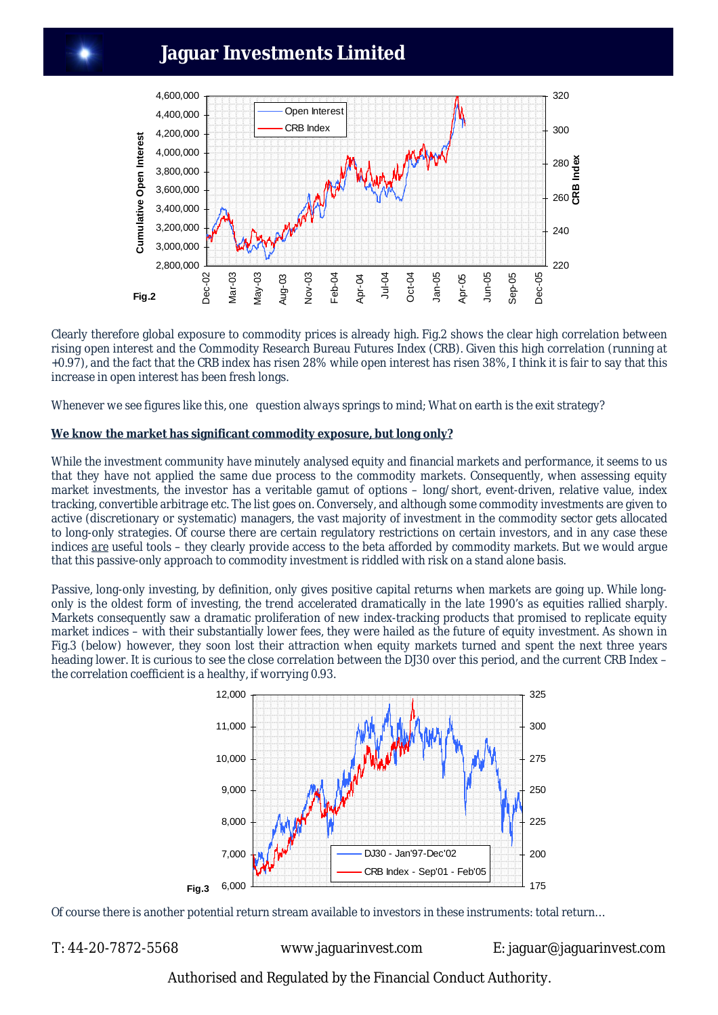## **Jaguar Investments Limited**



Clearly therefore global exposure to commodity prices is already high. Fig.2 shows the clear high correlation between rising open interest and the Commodity Research Bureau Futures Index (CRB). Given this high correlation (running at +0.97), and the fact that the CRB index has risen 28% while open interest has risen 38%, I think it is fair to say that this increase in open interest has been fresh longs.

Whenever we see figures like this, one question always springs to mind; What on earth is the exit strategy?

### **We know the market has significant commodity exposure, but long only?**

While the investment community have minutely analysed equity and financial markets and performance, it seems to us that they have not applied the same due process to the commodity markets. Consequently, when assessing equity market investments, the investor has a veritable gamut of options – long/short, event-driven, relative value, index tracking, convertible arbitrage etc. The list goes on. Conversely, and although some commodity investments are given to active (discretionary or systematic) managers, the vast majority of investment in the commodity sector gets allocated to long-only strategies. Of course there are certain regulatory restrictions on certain investors, and in any case these indices *are* useful tools – they clearly provide access to the beta afforded by commodity markets. But we would argue that this passive-only approach to commodity investment is riddled with risk on a stand alone basis.

Passive, long-only investing, by definition, only gives positive capital returns when markets are going up. While longonly is the oldest form of investing, the trend accelerated dramatically in the late 1990's as equities rallied sharply. Markets consequently saw a dramatic proliferation of new index-tracking products that promised to replicate equity market indices – with their substantially lower fees, they were hailed as the future of equity investment. As shown in Fig.3 (below) however, they soon lost their attraction when equity markets turned and spent the next three years heading lower. It is curious to see the close correlation between the DJ30 over this period, and the current CRB Index – the correlation coefficient is a healthy, if worrying 0.93.



Of course there is another potential return stream available to investors in these instruments: total return…

T: 44-20-7872-5568 www.jaguarinvest.com E: jaguar@jaguarinvest.com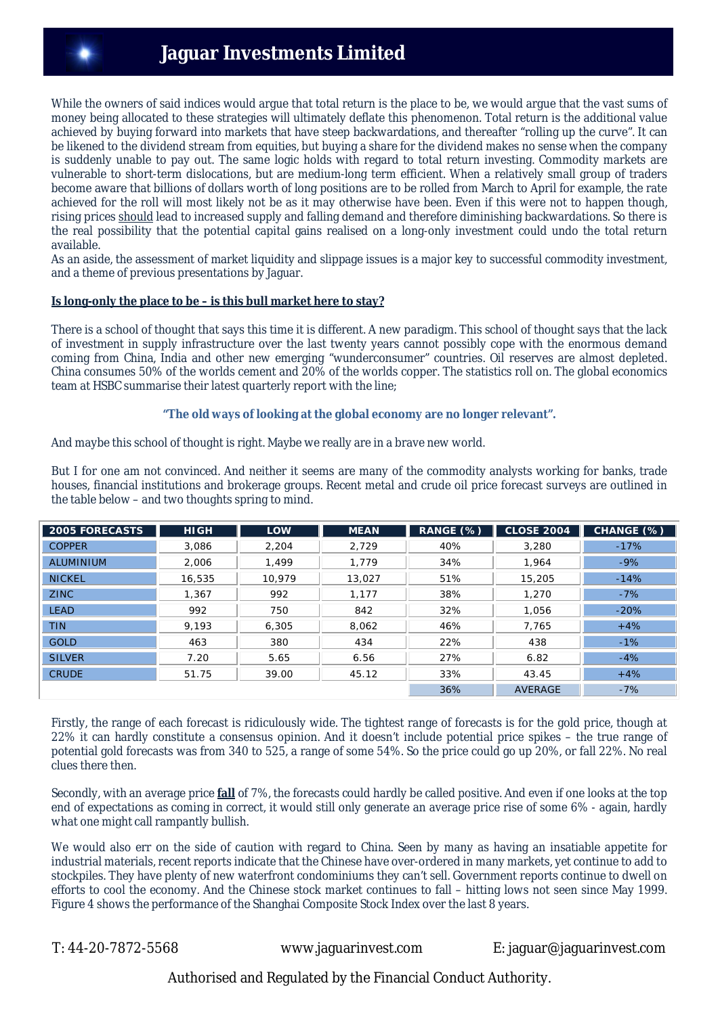# **Jaguar Investments Limited**

While the owners of said indices would argue that total return is the place to be, we would argue that the vast sums of money being allocated to these strategies will ultimately deflate this phenomenon. Total return is the additional value achieved by buying forward into markets that have steep backwardations, and thereafter "rolling up the curve". It can be likened to the dividend stream from equities, but buying a share for the dividend makes no sense when the company is suddenly unable to pay out. The same logic holds with regard to total return investing. Commodity markets are vulnerable to short-term dislocations, but are medium-long term efficient. When a relatively small group of traders become aware that billions of dollars worth of long positions are to be rolled from March to April for example, the rate achieved for the roll will most likely not be as it may otherwise have been. Even if this were not to happen though, rising prices should lead to increased supply and falling demand and therefore diminishing backwardations. So there is the real possibility that the potential capital gains realised on a long-only investment could undo the total return available.

As an aside, the assessment of market liquidity and slippage issues is a major key to successful commodity investment, and a theme of previous presentations by Jaguar.

### **Is long-only the place to be – is this bull market here to stay?**

There is a school of thought that says this time it is different. A new paradigm. This school of thought says that the lack of investment in supply infrastructure over the last twenty years cannot possibly cope with the enormous demand coming from China, India and other new emerging "wunderconsumer" countries. Oil reserves are almost depleted. China consumes 50% of the worlds cement and 20% of the worlds copper. The statistics roll on. The global economics team at HSBC summarise their latest quarterly report with the line;

#### **"The old ways of looking at the global economy are no longer relevant".**

And maybe this school of thought is right. Maybe we really are in a brave new world.

But I for one am not convinced. And neither it seems are many of the commodity analysts working for banks, trade houses, financial institutions and brokerage groups. Recent metal and crude oil price forecast surveys are outlined in the table below – and two thoughts spring to mind.

| 2005 FORECASTS   | <b>HIGH</b> | <b>LOW</b> | <b>MEAN</b> | RANGE (%) | <b>CLOSE 2004</b> | CHANGE (%) |
|------------------|-------------|------------|-------------|-----------|-------------------|------------|
| <b>COPPER</b>    | 3.086       | 2,204      | 2.729       | 40%       | 3,280             | $-17%$     |
| <b>ALUMINIUM</b> | 2.006       | 1.499      | 1.779       | 34%       | 1.964             | $-9%$      |
| <b>NICKEL</b>    | 16,535      | 10.979     | 13,027      | 51%       | 15,205            | $-14%$     |
| <b>ZINC</b>      | 1.367       | 992        | 1.177       | 38%       | 1,270             | $-7%$      |
| <b>LEAD</b>      | 992         | 750        | 842         | 32%       | 1.056             | $-20%$     |
| <b>TIN</b>       | 9.193       | 6,305      | 8,062       | 46%       | 7,765             | $+4%$      |
| <b>GOLD</b>      | 463         | 380        | 434         | 22%       | 438               | $-1%$      |
| <b>SILVER</b>    | 7.20        | 5.65       | 6.56        | 27%       | 6.82              | $-4%$      |
| <b>CRUDE</b>     | 51.75       | 39.00      | 45.12       | 33%       | 43.45             | $+4%$      |
|                  |             |            |             | 36%       | <b>AVERAGE</b>    | $-7%$      |

Firstly, the range of each forecast is ridiculously wide. The tightest range of forecasts is for the gold price, though at 22% it can hardly constitute a consensus opinion. And it doesn't include potential price spikes – the true range of potential gold forecasts was from 340 to 525, a range of some 54%. So the price could go up 20%, or fall 22%. No real clues there then.

Secondly, with an average price **fall** of 7%, the forecasts could hardly be called positive. And even if one looks at the top end of expectations as coming in correct, it would still only generate an average price rise of some 6% - again, hardly what one might call rampantly bullish.

We would also err on the side of caution with regard to China. Seen by many as having an insatiable appetite for industrial materials, recent reports indicate that the Chinese have over-ordered in many markets, yet continue to add to stockpiles. They have plenty of new waterfront condominiums they can't sell. Government reports continue to dwell on efforts to cool the economy. And the Chinese stock market continues to fall – hitting lows not seen since May 1999. Figure 4 shows the performance of the Shanghai Composite Stock Index over the last 8 years.

T: 44-20-7872-5568 www.jaguarinvest.com E: jaguar@jaguarinvest.com